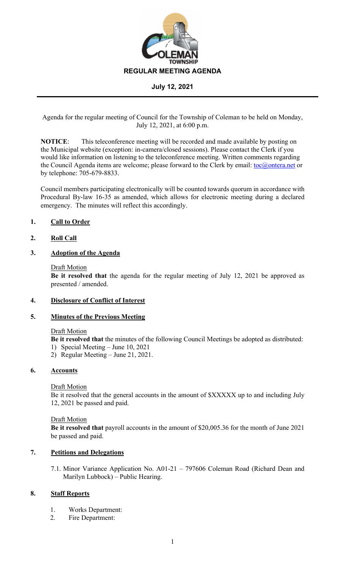

Agenda for the regular meeting of Council for the Township of Coleman to be held on Monday, July 12, 2021, at 6:00 p.m.

**NOTICE**: This teleconference meeting will be recorded and made available by posting on the Municipal website (exception: in-camera/closed sessions). Please contact the Clerk if you would like information on listening to the teleconference meeting. Written comments regarding the Council Agenda items are welcome; please forward to the Clerk by email: toc@ontera.net or by telephone: 705-679-8833.

Council members participating electronically will be counted towards quorum in accordance with Procedural By-law 16-35 as amended, which allows for electronic meeting during a declared emergency. The minutes will reflect this accordingly.

# **1. Call to Order**

## **2. Roll Call**

## **3. Adoption of the Agenda**

#### Draft Motion

**Be it resolved that** the agenda for the regular meeting of July 12, 2021 be approved as presented / amended.

## **4. Disclosure of Conflict of Interest**

## **5. Minutes of the Previous Meeting**

#### Draft Motion

**Be it resolved that** the minutes of the following Council Meetings be adopted as distributed:

- 1) Special Meeting June 10, 2021
- 2) Regular Meeting June 21, 2021.

# **6. Accounts**

## Draft Motion

Be it resolved that the general accounts in the amount of \$XXXXX up to and including July 12, 2021 be passed and paid.

#### Draft Motion

**Be it resolved that** payroll accounts in the amount of \$20,005.36 for the month of June 2021 be passed and paid.

## **7. Petitions and Delegations**

7.1. Minor Variance Application No. A01-21 – 797606 Coleman Road (Richard Dean and Marilyn Lubbock) – Public Hearing.

## **8. Staff Reports**

- 1. Works Department:
- 2. Fire Department: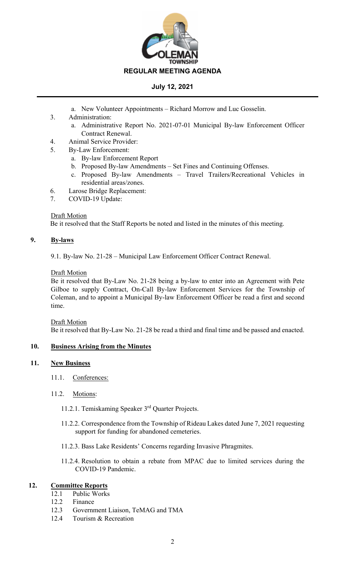

- a. New Volunteer Appointments Richard Morrow and Luc Gosselin.
- 3. Administration:
	- a. Administrative Report No. 2021-07-01 Municipal By-law Enforcement Officer Contract Renewal.
- 4. Animal Service Provider:
- 5. By-Law Enforcement:
	- a. By-law Enforcement Report
	- b. Proposed By-law Amendments Set Fines and Continuing Offenses.
	- c. Proposed By-law Amendments Travel Trailers/Recreational Vehicles in residential areas/zones.
- 6. Larose Bridge Replacement:
- 7. COVID-19 Update:

## Draft Motion

Be it resolved that the Staff Reports be noted and listed in the minutes of this meeting.

# **9. By-laws**

9.1. By-law No. 21-28 – Municipal Law Enforcement Officer Contract Renewal.

# Draft Motion

Be it resolved that By-Law No. 21-28 being a by-law to enter into an Agreement with Pete Gilboe to supply Contract, On-Call By-law Enforcement Services for the Township of Coleman, and to appoint a Municipal By-law Enforcement Officer be read a first and second time.

Draft Motion Be it resolved that By-Law No. 21-28 be read a third and final time and be passed and enacted.

# **10. Business Arising from the Minutes**

## **11. New Business**

- 11.1. Conferences:
- 11.2. Motions:
	- 11.2.1. Temiskaming Speaker 3rd Quarter Projects.
	- 11.2.2. Correspondence from the Township of Rideau Lakes dated June 7, 2021 requesting support for funding for abandoned cemeteries.
	- 11.2.3. Bass Lake Residents' Concerns regarding Invasive Phragmites.
	- 11.2.4. Resolution to obtain a rebate from MPAC due to limited services during the COVID-19 Pandemic.

# **12. Committee Reports**

- 12.1 Public Works
- 12.2 Finance
- 12.3 Government Liaison, TeMAG and TMA
- 12.4 Tourism & Recreation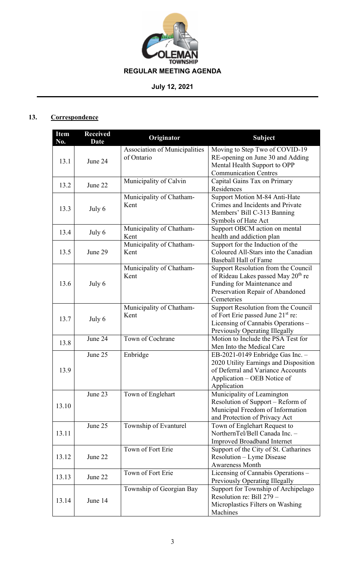

# **13. Correspondence**

| <b>Item</b><br>No. | <b>Received</b><br>Date | Originator                                  | <b>Subject</b>                                                                                                                                                         |
|--------------------|-------------------------|---------------------------------------------|------------------------------------------------------------------------------------------------------------------------------------------------------------------------|
| 13.1               | June 24                 | Association of Municipalities<br>of Ontario | Moving to Step Two of COVID-19<br>RE-opening on June 30 and Adding<br>Mental Health Support to OPP<br><b>Communication Centres</b>                                     |
| 13.2               | June 22                 | Municipality of Calvin                      | Capital Gains Tax on Primary<br>Residences                                                                                                                             |
| 13.3               | July 6                  | Municipality of Chatham-<br>Kent            | Support Motion M-84 Anti-Hate<br>Crimes and Incidents and Private<br>Members' Bill C-313 Banning<br>Symbols of Hate Act                                                |
| 13.4               | July 6                  | Municipality of Chatham-<br>Kent            | Support OBCM action on mental<br>health and addiction plan                                                                                                             |
| 13.5               | June 29                 | Municipality of Chatham-<br>Kent            | Support for the Induction of the<br>Coloured All-Stars into the Canadian<br><b>Baseball Hall of Fame</b>                                                               |
| 13.6               | July 6                  | Municipality of Chatham-<br>Kent            | Support Resolution from the Council<br>of Rideau Lakes passed May 20 <sup>th</sup> re<br>Funding for Maintenance and<br>Preservation Repair of Abandoned<br>Cemeteries |
| 13.7               | July 6                  | Municipality of Chatham-<br>Kent            | Support Resolution from the Council<br>of Fort Erie passed June 21 <sup>st</sup> re:<br>Licensing of Cannabis Operations -<br>Previously Operating Illegally           |
| 13.8               | June 24                 | Town of Cochrane                            | Motion to Include the PSA Test for<br>Men Into the Medical Care                                                                                                        |
| 13.9               | June 25                 | Enbridge                                    | EB-2021-0149 Enbridge Gas Inc. $-$<br>2020 Utility Earnings and Disposition<br>of Deferral and Variance Accounts<br>Application – OEB Notice of<br>Application         |
| 13.10              | June 23                 | Town of Englehart                           | Municipality of Leamington<br>Resolution of Support – Reform of<br>Municipal Freedom of Information<br>and Protection of Privacy Act                                   |
| 13.11              | June 25                 | Township of Evanturel                       | Town of Englehart Request to<br>NorthernTel/Bell Canada Inc. -<br><b>Improved Broadband Internet</b>                                                                   |
| 13.12              | June 22                 | Town of Fort Erie                           | Support of the City of St. Catharines<br>Resolution - Lyme Disease<br><b>Awareness Month</b>                                                                           |
| 13.13              | June 22                 | Town of Fort Erie                           | Licensing of Cannabis Operations -<br>Previously Operating Illegally                                                                                                   |
| 13.14              | June 14                 | Township of Georgian Bay                    | Support for Township of Archipelago<br>Resolution re: Bill 279 -<br>Microplastics Filters on Washing<br>Machines                                                       |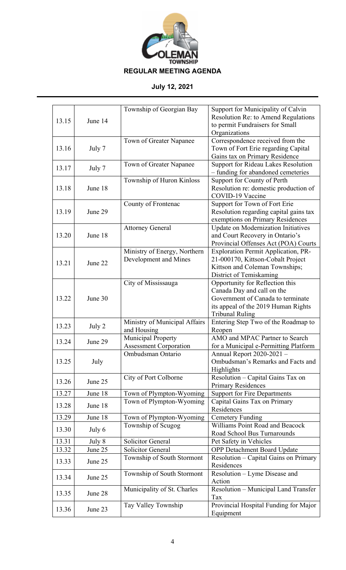

| 13.15 | June 14 | Township of Georgian Bay                              | Support for Municipality of Calvin<br>Resolution Re: to Amend Regulations<br>to permit Fundraisers for Small<br>Organizations                                       |
|-------|---------|-------------------------------------------------------|---------------------------------------------------------------------------------------------------------------------------------------------------------------------|
| 13.16 | July 7  | Town of Greater Napanee                               | Correspondence received from the<br>Town of Fort Erie regarding Capital<br>Gains tax on Primary Residence                                                           |
| 13.17 | July 7  | Town of Greater Napanee                               | Support for Rideau Lakes Resolution<br>- funding for abandoned cemeteries                                                                                           |
| 13.18 | June 18 | Township of Huron Kinloss                             | Support for County of Perth<br>Resolution re: domestic production of<br>COVID-19 Vaccine                                                                            |
| 13.19 | June 29 | County of Frontenac                                   | Support for Town of Fort Erie<br>Resolution regarding capital gains tax<br>exemptions on Primary Residences                                                         |
| 13.20 | June 18 | <b>Attorney General</b>                               | Update on Modernization Initiatives<br>and Court Recovery in Ontario's<br>Provincial Offenses Act (POA) Courts                                                      |
| 13.21 | June 22 | Ministry of Energy, Northern<br>Development and Mines | Exploration Permit Application, PR-<br>21-000170, Kittson-Cobalt Project<br>Kittson and Coleman Townships;<br>District of Temiskaming                               |
| 13.22 | June 30 | City of Mississauga                                   | Opportunity for Reflection this<br>Canada Day and call on the<br>Government of Canada to terminate<br>its appeal of the 2019 Human Rights<br><b>Tribunal Ruling</b> |
| 13.23 | July 2  | Ministry of Municipal Affairs<br>and Housing          | Entering Step Two of the Roadmap to<br>Reopen                                                                                                                       |
| 13.24 | June 29 | Municipal Property<br><b>Assessment Corporation</b>   | AMO and MPAC Partner to Search<br>for a Municipal e-Permitting Platform                                                                                             |
| 13.25 | July    | Ombudsman Ontario                                     | Annual Report 2020-2021 -<br>Ombudsman's Remarks and Facts and<br>Highlights                                                                                        |
| 13.26 | June 25 | City of Port Colborne                                 | Resolution - Capital Gains Tax on<br><b>Primary Residences</b>                                                                                                      |
| 13.27 | June 18 | Town of Plympton-Wyoming                              | <b>Support for Fire Departments</b>                                                                                                                                 |
| 13.28 | June 18 | Town of Plympton-Wyoming                              | Capital Gains Tax on Primary<br>Residences                                                                                                                          |
| 13.29 | June 18 | Town of Plympton-Wyoming                              | <b>Cemetery Funding</b>                                                                                                                                             |
| 13.30 | July 6  | Township of Scugog                                    | Williams Point Road and Beacock<br>Road School Bus Turnarounds                                                                                                      |
| 13.31 | July 8  | Solicitor General                                     | Pet Safety in Vehicles                                                                                                                                              |
| 13.32 | June 25 | <b>Solicitor General</b>                              | <b>OPP Detachment Board Update</b>                                                                                                                                  |
| 13.33 | June 25 | Township of South Stormont                            | Resolution - Capital Gains on Primary<br>Residences                                                                                                                 |
| 13.34 | June 25 | Township of South Stormont                            | Resolution - Lyme Disease and<br>Action                                                                                                                             |
| 13.35 | June 28 | Municipality of St. Charles                           | Resolution - Municipal Land Transfer<br>Tax                                                                                                                         |
| 13.36 | June 23 | Tay Valley Township                                   | Provincial Hospital Funding for Major<br>Equipment                                                                                                                  |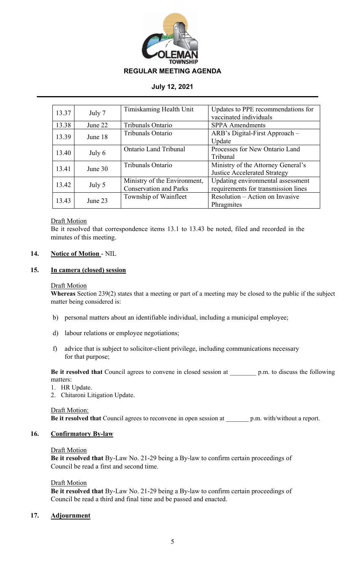

| 13.37 | July 7  | Timiskaming Health Unit       | Updates to PPE recommendations for  |
|-------|---------|-------------------------------|-------------------------------------|
|       |         |                               | vaccinated individuals              |
| 13.38 | June 22 | Tribunals Ontario             | <b>SPPA</b> Amendments              |
| 13.39 | June 18 | Tribunals Ontario             | ARB's Digital-First Approach –      |
|       |         |                               | Update                              |
| 13.40 | July 6  | Ontario Land Tribunal         | Processes for New Ontario Land      |
|       |         |                               | Tribunal                            |
| 13.41 | June 30 | Tribunals Ontario             | Ministry of the Attorney General's  |
|       |         |                               | <b>Justice Accelerated Strategy</b> |
| 13.42 | July 5  | Ministry of the Environment,  | Updating environmental assessment   |
|       |         | <b>Conservation and Parks</b> | requirements for transmission lines |
| 13.43 | June 23 | Township of Wainfleet         | Resolution – Action on Invasive     |
|       |         |                               | Phragmites                          |

## Draft Motion

Be it resolved that correspondence items 13.1 to 13.43 be noted, filed and recorded in the minutes of this meeting.

# **14. Notice of Motion** - NIL

#### **15. In camera (closed) session**

#### Draft Motion

**Whereas** Section 239(2) states that a meeting or part of a meeting may be closed to the public if the subject matter being considered is:

- b) personal matters about an identifiable individual, including a municipal employee;
- d) labour relations or employee negotiations;
- f) advice that is subject to solicitor-client privilege, including communications necessary for that purpose;

**Be it resolved that** Council agrees to convene in closed session at p.m. to discuss the following matters:

- 1. HR Update.
- 2. Chitaroni Litigation Update.

#### Draft Motion:

**Be it resolved that** Council agrees to reconvene in open session at \_\_\_\_\_\_\_ p.m. with/without a report.

## **16. Confirmatory By-law**

#### Draft Motion

**Be it resolved that** By-Law No. 21-29 being a By-law to confirm certain proceedings of Council be read a first and second time.

#### Draft Motion

**Be it resolved that** By-Law No. 21-29 being a By-law to confirm certain proceedings of Council be read a third and final time and be passed and enacted.

# **17. Adjournment**